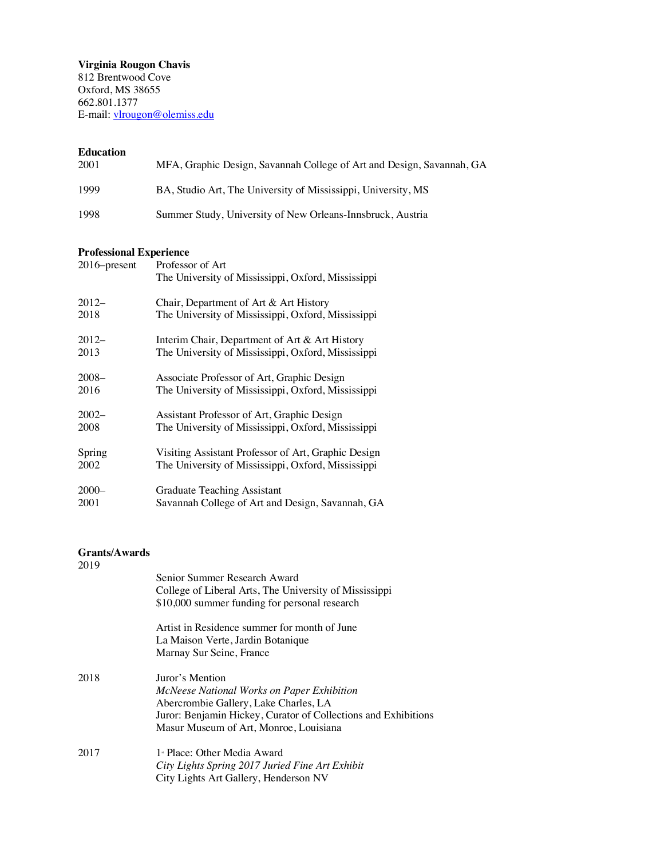**Virginia Rougon Chavis**  812 Brentwood Cove Oxford, MS 38655 662.801.1377 E-mail: vlrougon@olemiss.edu

## **Education**

| 2001 | MFA, Graphic Design, Savannah College of Art and Design, Savannah, GA |
|------|-----------------------------------------------------------------------|
| 1999 | BA, Studio Art, The University of Mississippi, University, MS         |
| 1998 | Summer Study, University of New Orleans-Innsbruck, Austria            |

# **Professional Experience**

| 2016–present | Professor of Art                                    |
|--------------|-----------------------------------------------------|
|              | The University of Mississippi, Oxford, Mississippi  |
| $2012-$      | Chair, Department of Art & Art History              |
| 2018         | The University of Mississippi, Oxford, Mississippi  |
| $2012-$      | Interim Chair, Department of Art & Art History      |
| 2013         | The University of Mississippi, Oxford, Mississippi  |
| $2008 -$     | Associate Professor of Art, Graphic Design          |
| 2016         | The University of Mississippi, Oxford, Mississippi  |
| $2002 -$     | Assistant Professor of Art, Graphic Design          |
| 2008         | The University of Mississippi, Oxford, Mississippi  |
| Spring       | Visiting Assistant Professor of Art, Graphic Design |
| 2002         | The University of Mississippi, Oxford, Mississippi  |
| $2000 -$     | Graduate Teaching Assistant                         |
| 2001         | Savannah College of Art and Design, Savannah, GA    |

## **Grants/Awards**

| 2019 |                                                                |
|------|----------------------------------------------------------------|
|      | Senior Summer Research Award                                   |
|      | College of Liberal Arts, The University of Mississippi         |
|      | \$10,000 summer funding for personal research                  |
|      | Artist in Residence summer for month of June                   |
|      | La Maison Verte, Jardin Botanique                              |
|      | Marnay Sur Seine, France                                       |
| 2018 | Juror's Mention                                                |
|      | McNeese National Works on Paper Exhibition                     |
|      | Abercrombie Gallery, Lake Charles, LA                          |
|      | Juror: Benjamin Hickey, Curator of Collections and Exhibitions |
|      | Masur Museum of Art, Monroe, Louisiana                         |
| 2017 | 1 <sup>*</sup> Place: Other Media Award                        |
|      | City Lights Spring 2017 Juried Fine Art Exhibit                |
|      | City Lights Art Gallery, Henderson NV                          |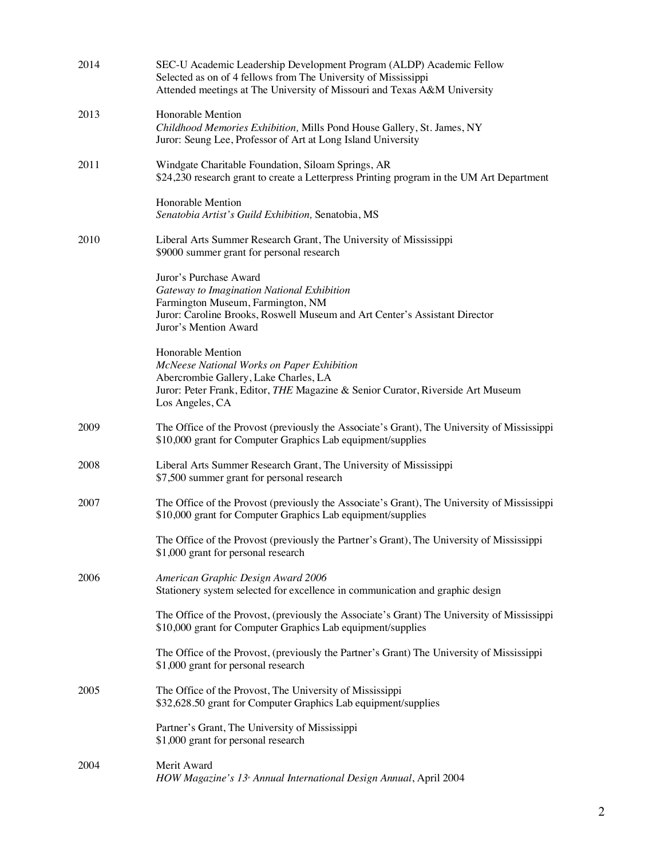| 2014 | SEC-U Academic Leadership Development Program (ALDP) Academic Fellow<br>Selected as on of 4 fellows from The University of Mississippi<br>Attended meetings at The University of Missouri and Texas A&M University |
|------|--------------------------------------------------------------------------------------------------------------------------------------------------------------------------------------------------------------------|
| 2013 | Honorable Mention<br>Childhood Memories Exhibition, Mills Pond House Gallery, St. James, NY<br>Juror: Seung Lee, Professor of Art at Long Island University                                                        |
| 2011 | Windgate Charitable Foundation, Siloam Springs, AR<br>\$24,230 research grant to create a Letterpress Printing program in the UM Art Department                                                                    |
|      | Honorable Mention<br>Senatobia Artist's Guild Exhibition, Senatobia, MS                                                                                                                                            |
| 2010 | Liberal Arts Summer Research Grant, The University of Mississippi<br>\$9000 summer grant for personal research                                                                                                     |
|      | Juror's Purchase Award<br>Gateway to Imagination National Exhibition<br>Farmington Museum, Farmington, NM<br>Juror: Caroline Brooks, Roswell Museum and Art Center's Assistant Director<br>Juror's Mention Award   |
|      | Honorable Mention<br>McNeese National Works on Paper Exhibition<br>Abercrombie Gallery, Lake Charles, LA<br>Juror: Peter Frank, Editor, THE Magazine & Senior Curator, Riverside Art Museum<br>Los Angeles, CA     |
| 2009 | The Office of the Provost (previously the Associate's Grant), The University of Mississippi<br>\$10,000 grant for Computer Graphics Lab equipment/supplies                                                         |
| 2008 | Liberal Arts Summer Research Grant, The University of Mississippi<br>\$7,500 summer grant for personal research                                                                                                    |
| 2007 | The Office of the Provost (previously the Associate's Grant), The University of Mississippi<br>\$10,000 grant for Computer Graphics Lab equipment/supplies                                                         |
|      | The Office of the Provost (previously the Partner's Grant), The University of Mississippi<br>\$1,000 grant for personal research                                                                                   |
| 2006 | American Graphic Design Award 2006<br>Stationery system selected for excellence in communication and graphic design                                                                                                |
|      | The Office of the Provost, (previously the Associate's Grant) The University of Mississippi<br>\$10,000 grant for Computer Graphics Lab equipment/supplies                                                         |
|      | The Office of the Provost, (previously the Partner's Grant) The University of Mississippi<br>\$1,000 grant for personal research                                                                                   |
| 2005 | The Office of the Provost, The University of Mississippi<br>\$32,628.50 grant for Computer Graphics Lab equipment/supplies                                                                                         |
|      | Partner's Grant, The University of Mississippi<br>\$1,000 grant for personal research                                                                                                                              |
| 2004 | Merit Award<br>HOW Magazine's 13 <sup>®</sup> Annual International Design Annual, April 2004                                                                                                                       |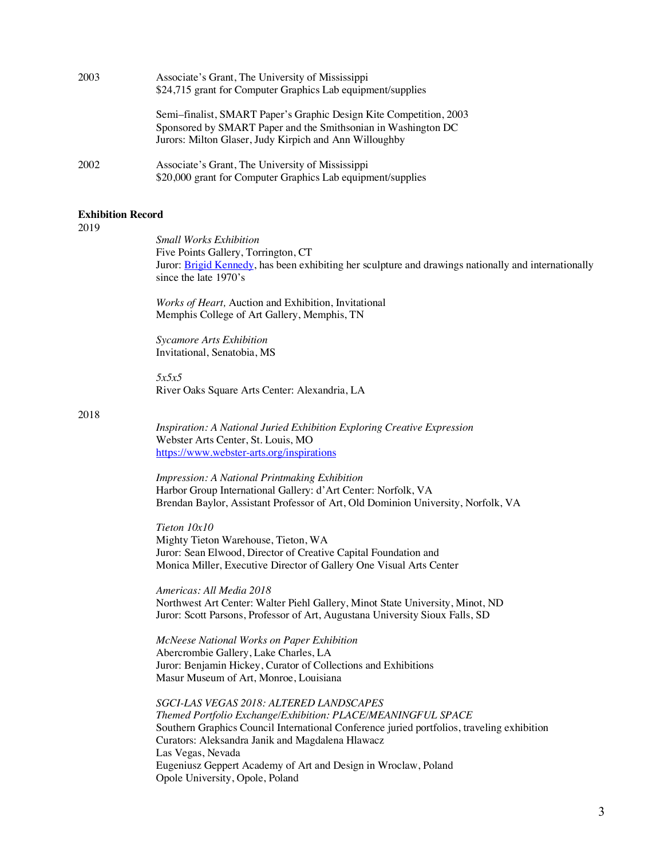| 2003 | Associate's Grant, The University of Mississippi<br>\$24,715 grant for Computer Graphics Lab equipment/supplies                                                                               |  |
|------|-----------------------------------------------------------------------------------------------------------------------------------------------------------------------------------------------|--|
|      | Semi-finalist, SMART Paper's Graphic Design Kite Competition, 2003<br>Sponsored by SMART Paper and the Smithsonian in Washington DC<br>Jurors: Milton Glaser, Judy Kirpich and Ann Willoughby |  |
| 2002 | Associate's Grant, The University of Mississippi<br>\$20,000 grant for Computer Graphics Lab equipment/supplies                                                                               |  |

# **Exhibition Record**

2019

*Small Works Exhibition* Five Points Gallery, Torrington, CT Juror: Brigid Kennedy, has been exhibiting her sculpture and drawings nationally and internationally since the late 1970's

*Works of Heart,* Auction and Exhibition, Invitational Memphis College of Art Gallery, Memphis, TN

*Sycamore Arts Exhibition* Invitational, Senatobia, MS

*5x5x5* River Oaks Square Arts Center: Alexandria, LA

2018

*Inspiration: A National Juried Exhibition Exploring Creative Expression* Webster Arts Center, St. Louis, MO https://www.webster-arts.org/inspirations

*Impression: A National Printmaking Exhibition* Harbor Group International Gallery: d'Art Center: Norfolk, VA Brendan Baylor, Assistant Professor of Art, Old Dominion University, Norfolk, VA

*Tieton 10x10* Mighty Tieton Warehouse, Tieton, WA Juror: Sean Elwood, Director of Creative Capital Foundation and Monica Miller, Executive Director of Gallery One Visual Arts Center

*Americas: All Media 2018* Northwest Art Center: Walter Piehl Gallery, Minot State University, Minot, ND Juror: Scott Parsons, Professor of Art, Augustana University Sioux Falls, SD

*McNeese National Works on Paper Exhibition* Abercrombie Gallery, Lake Charles, LA Juror: Benjamin Hickey, Curator of Collections and Exhibitions Masur Museum of Art, Monroe, Louisiana

*SGCI-LAS VEGAS 2018: ALTERED LANDSCAPES Themed Portfolio Exchange/Exhibition: PLACE/MEANINGFUL SPACE* Southern Graphics Council International Conference juried portfolios, traveling exhibition Curators: Aleksandra Janik and Magdalena Hlawacz Las Vegas, Nevada Eugeniusz Geppert Academy of Art and Design in Wroclaw, Poland Opole University, Opole, Poland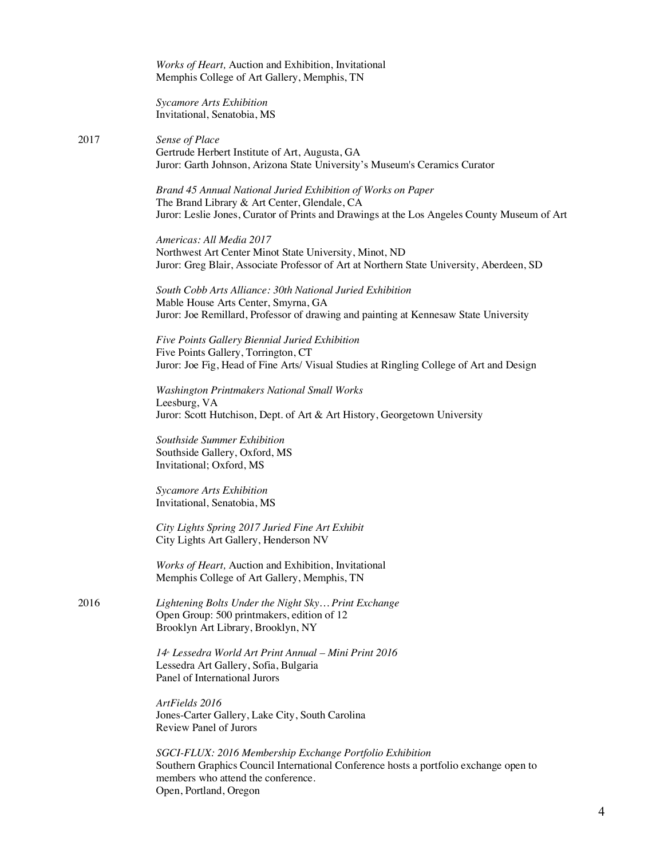*Works of Heart,* Auction and Exhibition, Invitational Memphis College of Art Gallery, Memphis, TN

*Sycamore Arts Exhibition* Invitational, Senatobia, MS

2017 *Sense of Place* Gertrude Herbert Institute of Art, Augusta, GA Juror: Garth Johnson, Arizona State University's Museum's Ceramics Curator

> *Brand 45 Annual National Juried Exhibition of Works on Paper* The Brand Library & Art Center, Glendale, CA Juror: Leslie Jones, Curator of Prints and Drawings at the Los Angeles County Museum of Art

*Americas: All Media 2017* Northwest Art Center Minot State University, Minot, ND Juror: Greg Blair, Associate Professor of Art at Northern State University, Aberdeen, SD

*South Cobb Arts Alliance: 30th National Juried Exhibition* Mable House Arts Center, Smyrna, GA Juror: Joe Remillard, Professor of drawing and painting at Kennesaw State University

*Five Points Gallery Biennial Juried Exhibition* Five Points Gallery, Torrington, CT Juror: Joe Fig, Head of Fine Arts/ Visual Studies at Ringling College of Art and Design

*Washington Printmakers National Small Works* Leesburg, VA Juror: Scott Hutchison, Dept. of Art & Art History, Georgetown University

*Southside Summer Exhibition* Southside Gallery, Oxford, MS Invitational; Oxford, MS

*Sycamore Arts Exhibition* Invitational, Senatobia, MS

*City Lights Spring 2017 Juried Fine Art Exhibit* City Lights Art Gallery, Henderson NV

*Works of Heart,* Auction and Exhibition, Invitational Memphis College of Art Gallery, Memphis, TN

2016 *Lightening Bolts Under the Night Sky… Print Exchange* Open Group: 500 printmakers, edition of 12 Brooklyn Art Library, Brooklyn, NY

> *14th Lessedra World Art Print Annual – Mini Print 2016* Lessedra Art Gallery, Sofia, Bulgaria Panel of International Jurors

*ArtFields 2016* Jones-Carter Gallery, Lake City, South Carolina Review Panel of Jurors

*SGCI-FLUX: 2016 Membership Exchange Portfolio Exhibition* Southern Graphics Council International Conference hosts a portfolio exchange open to members who attend the conference. Open, Portland, Oregon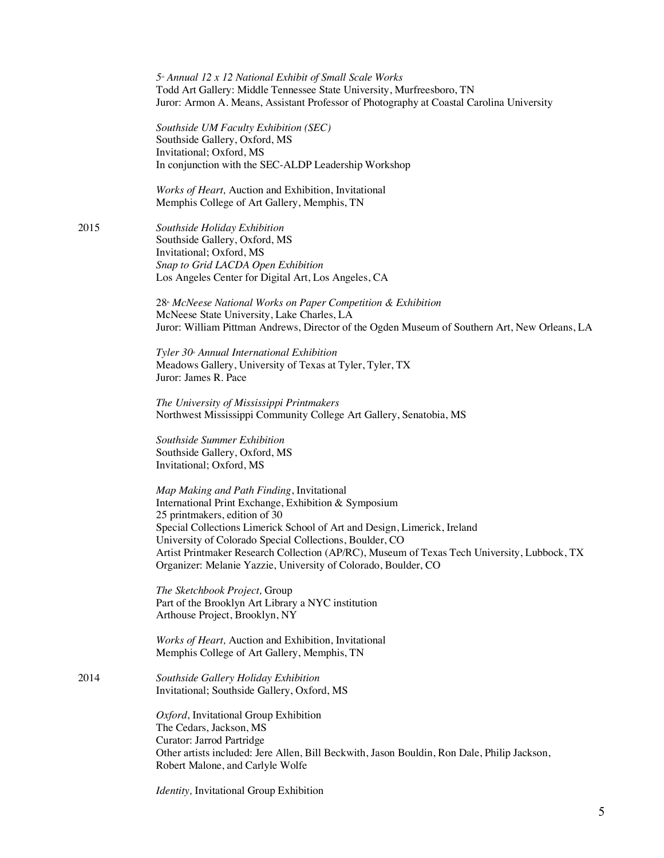*5th Annual 12 x 12 National Exhibit of Small Scale Works* Todd Art Gallery: Middle Tennessee State University, Murfreesboro, TN Juror: Armon A. Means, Assistant Professor of Photography at Coastal Carolina University

*Southside UM Faculty Exhibition (SEC)* Southside Gallery, Oxford, MS Invitational; Oxford, MS In conjunction with the SEC-ALDP Leadership Workshop

*Works of Heart,* Auction and Exhibition, Invitational Memphis College of Art Gallery, Memphis, TN

2015 *Southside Holiday Exhibition* Southside Gallery, Oxford, MS Invitational; Oxford, MS *Snap to Grid LACDA Open Exhibition* Los Angeles Center for Digital Art, Los Angeles, CA

> 28th *McNeese National Works on Paper Competition & Exhibition* McNeese State University, Lake Charles, LA Juror: William Pittman Andrews, Director of the Ogden Museum of Southern Art, New Orleans, LA

*Tyler 30<sup>\*</sup> Annual International Exhibition* Meadows Gallery, University of Texas at Tyler, Tyler, TX Juror: James R. Pace

*The University of Mississippi Printmakers* Northwest Mississippi Community College Art Gallery, Senatobia, MS

*Southside Summer Exhibition* Southside Gallery, Oxford, MS Invitational; Oxford, MS

*Map Making and Path Finding*, Invitational International Print Exchange, Exhibition & Symposium 25 printmakers, edition of 30 Special Collections Limerick School of Art and Design, Limerick, Ireland University of Colorado Special Collections, Boulder, CO Artist Printmaker Research Collection (AP/RC), Museum of Texas Tech University, Lubbock, TX Organizer: Melanie Yazzie, University of Colorado, Boulder, CO

*The Sketchbook Project,* Group Part of the Brooklyn Art Library a NYC institution Arthouse Project, Brooklyn, NY

*Works of Heart,* Auction and Exhibition, Invitational Memphis College of Art Gallery, Memphis, TN

2014 *Southside Gallery Holiday Exhibition*  Invitational; Southside Gallery, Oxford, MS

> *Oxford*, Invitational Group Exhibition The Cedars, Jackson, MS Curator: Jarrod Partridge Other artists included: Jere Allen, Bill Beckwith, Jason Bouldin, Ron Dale, Philip Jackson, Robert Malone, and Carlyle Wolfe

*Identity,* Invitational Group Exhibition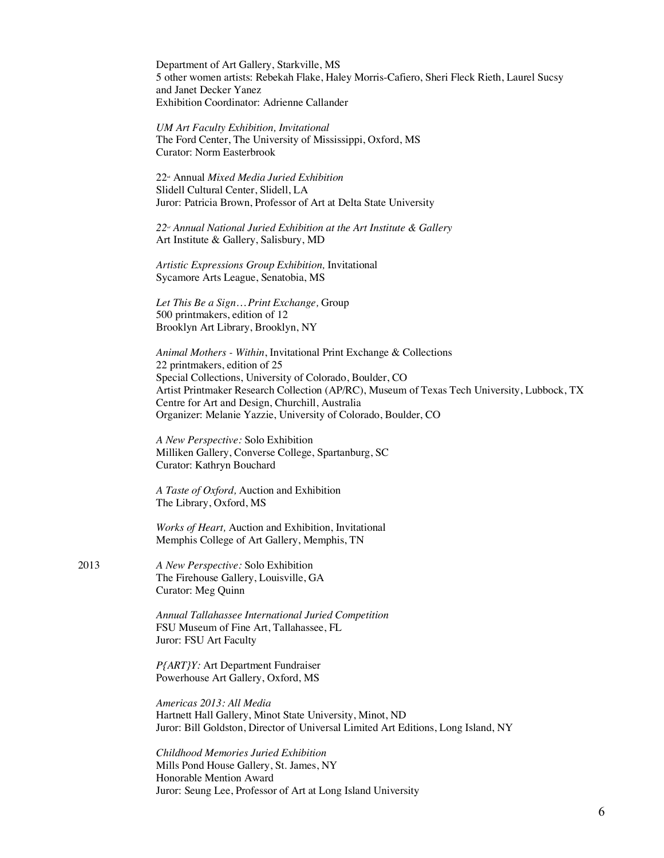Department of Art Gallery, Starkville, MS 5 other women artists: Rebekah Flake, Haley Morris-Cafiero, Sheri Fleck Rieth, Laurel Sucsy and Janet Decker Yanez Exhibition Coordinator: Adrienne Callander

*UM Art Faculty Exhibition, Invitational* The Ford Center, The University of Mississippi, Oxford, MS Curator: Norm Easterbrook

22nd Annual *Mixed Media Juried Exhibition* Slidell Cultural Center, Slidell, LA Juror: Patricia Brown, Professor of Art at Delta State University

22<sup>™</sup> Annual National Juried Exhibition at the Art Institute & Gallery Art Institute & Gallery, Salisbury, MD

*Artistic Expressions Group Exhibition,* Invitational Sycamore Arts League, Senatobia, MS

*Let This Be a Sign… Print Exchange,* Group 500 printmakers, edition of 12 Brooklyn Art Library, Brooklyn, NY

*Animal Mothers - Within*, Invitational Print Exchange & Collections 22 printmakers, edition of 25 Special Collections, University of Colorado, Boulder, CO Artist Printmaker Research Collection (AP/RC), Museum of Texas Tech University, Lubbock, TX Centre for Art and Design, Churchill, Australia Organizer: Melanie Yazzie, University of Colorado, Boulder, CO

*A New Perspective:* Solo Exhibition Milliken Gallery, Converse College, Spartanburg, SC Curator: Kathryn Bouchard

*A Taste of Oxford,* Auction and Exhibition The Library, Oxford, MS

*Works of Heart,* Auction and Exhibition, Invitational Memphis College of Art Gallery, Memphis, TN

2013 *A New Perspective:* Solo Exhibition The Firehouse Gallery, Louisville, GA Curator: Meg Quinn

> *Annual Tallahassee International Juried Competition* FSU Museum of Fine Art, Tallahassee, FL Juror: FSU Art Faculty

*P{ART}Y:* Art Department Fundraiser Powerhouse Art Gallery, Oxford, MS

*Americas 2013: All Media* Hartnett Hall Gallery, Minot State University, Minot, ND Juror: Bill Goldston, Director of Universal Limited Art Editions, Long Island, NY

*Childhood Memories Juried Exhibition* Mills Pond House Gallery, St. James, NY Honorable Mention Award Juror: Seung Lee, Professor of Art at Long Island University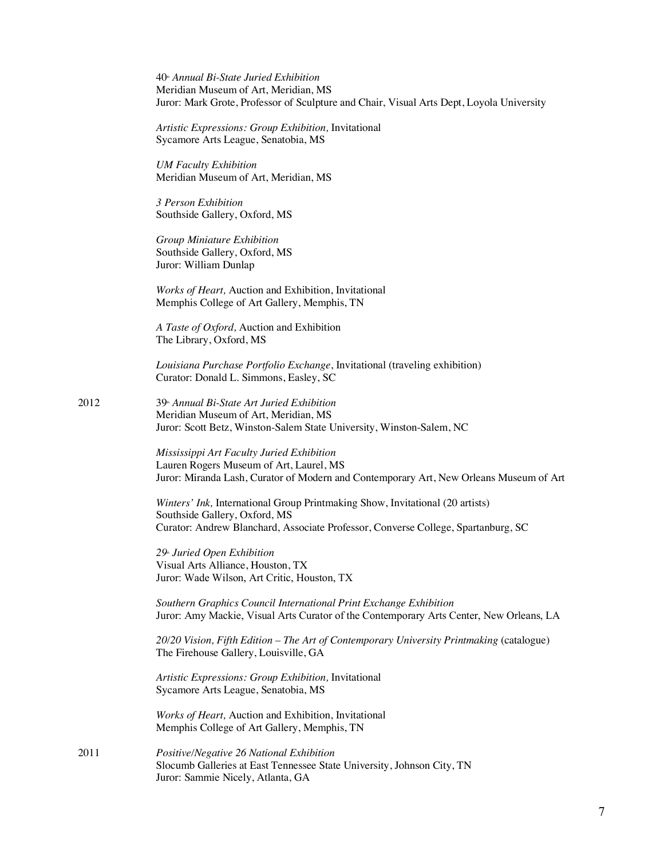40th *Annual Bi-State Juried Exhibition* Meridian Museum of Art, Meridian, MS Juror: Mark Grote, Professor of Sculpture and Chair, Visual Arts Dept, Loyola University

*Artistic Expressions: Group Exhibition,* Invitational Sycamore Arts League, Senatobia, MS

*UM Faculty Exhibition* Meridian Museum of Art, Meridian, MS

*3 Person Exhibition* Southside Gallery, Oxford, MS

*Group Miniature Exhibition* Southside Gallery, Oxford, MS Juror: William Dunlap

*Works of Heart,* Auction and Exhibition, Invitational Memphis College of Art Gallery, Memphis, TN

*A Taste of Oxford,* Auction and Exhibition The Library, Oxford, MS

*Louisiana Purchase Portfolio Exchange*, Invitational (traveling exhibition) Curator: Donald L. Simmons, Easley, SC

2012 39th *Annual Bi-State Art Juried Exhibition* Meridian Museum of Art, Meridian, MS Juror: Scott Betz, Winston-Salem State University, Winston-Salem, NC

> *Mississippi Art Faculty Juried Exhibition* Lauren Rogers Museum of Art, Laurel, MS Juror: Miranda Lash, Curator of Modern and Contemporary Art, New Orleans Museum of Art

*Winters' Ink,* International Group Printmaking Show, Invitational (20 artists) Southside Gallery, Oxford, MS Curator: Andrew Blanchard, Associate Professor, Converse College, Spartanburg, SC

*29th Juried Open Exhibition* Visual Arts Alliance, Houston, TX Juror: Wade Wilson, Art Critic, Houston, TX

*Southern Graphics Council International Print Exchange Exhibition* Juror: Amy Mackie, Visual Arts Curator of the Contemporary Arts Center, New Orleans, LA

*20/20 Vision, Fifth Edition – The Art of Contemporary University Printmaking* (catalogue) The Firehouse Gallery, Louisville, GA

*Artistic Expressions: Group Exhibition,* Invitational Sycamore Arts League, Senatobia, MS

*Works of Heart,* Auction and Exhibition, Invitational Memphis College of Art Gallery, Memphis, TN

2011 *Positive/Negative 26 National Exhibition* Slocumb Galleries at East Tennessee State University, Johnson City, TN Juror: Sammie Nicely, Atlanta, GA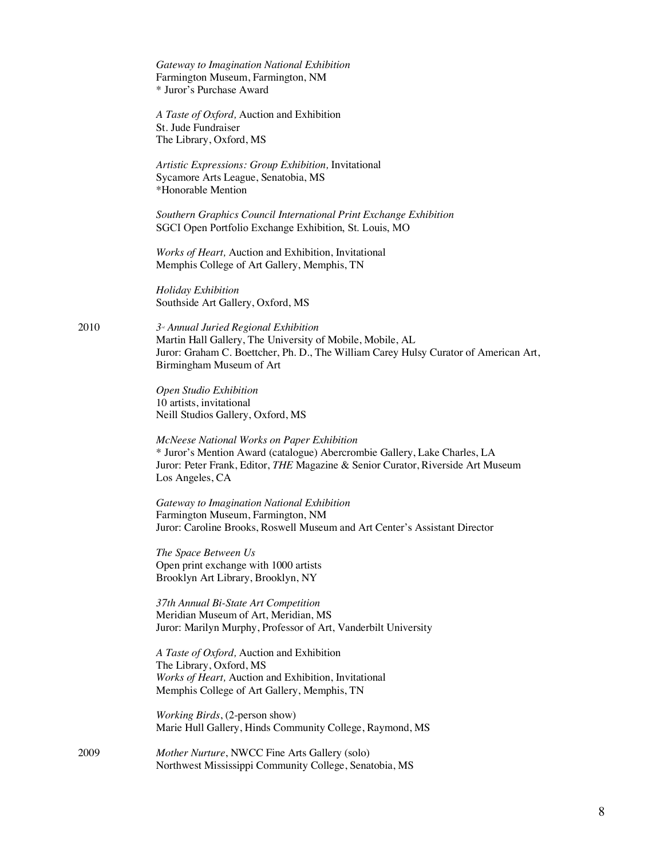|      | Gateway to Imagination National Exhibition<br>Farmington Museum, Farmington, NM<br>* Juror's Purchase Award                                                                                                                   |
|------|-------------------------------------------------------------------------------------------------------------------------------------------------------------------------------------------------------------------------------|
|      | A Taste of Oxford, Auction and Exhibition<br>St. Jude Fundraiser<br>The Library, Oxford, MS                                                                                                                                   |
|      | Artistic Expressions: Group Exhibition, Invitational<br>Sycamore Arts League, Senatobia, MS<br>*Honorable Mention                                                                                                             |
|      | Southern Graphics Council International Print Exchange Exhibition<br>SGCI Open Portfolio Exchange Exhibition, St. Louis, MO                                                                                                   |
|      | Works of Heart, Auction and Exhibition, Invitational<br>Memphis College of Art Gallery, Memphis, TN                                                                                                                           |
|      | Holiday Exhibition<br>Southside Art Gallery, Oxford, MS                                                                                                                                                                       |
| 2010 | $3u$ Annual Juried Regional Exhibition<br>Martin Hall Gallery, The University of Mobile, Mobile, AL<br>Juror: Graham C. Boettcher, Ph. D., The William Carey Hulsy Curator of American Art,<br>Birmingham Museum of Art       |
|      | Open Studio Exhibition<br>10 artists, invitational<br>Neill Studios Gallery, Oxford, MS                                                                                                                                       |
|      | McNeese National Works on Paper Exhibition<br>* Juror's Mention Award (catalogue) Abercrombie Gallery, Lake Charles, LA<br>Juror: Peter Frank, Editor, THE Magazine & Senior Curator, Riverside Art Museum<br>Los Angeles, CA |
|      | Gateway to Imagination National Exhibition<br>Farmington Museum, Farmington, NM<br>Juror: Caroline Brooks, Roswell Museum and Art Center's Assistant Director                                                                 |
|      | The Space Between Us<br>Open print exchange with 1000 artists<br>Brooklyn Art Library, Brooklyn, NY                                                                                                                           |
|      | 37th Annual Bi-State Art Competition<br>Meridian Museum of Art, Meridian, MS<br>Juror: Marilyn Murphy, Professor of Art, Vanderbilt University                                                                                |
|      | A Taste of Oxford, Auction and Exhibition<br>The Library, Oxford, MS<br>Works of Heart, Auction and Exhibition, Invitational<br>Memphis College of Art Gallery, Memphis, TN                                                   |
|      | Working Birds, (2-person show)<br>Marie Hull Gallery, Hinds Community College, Raymond, MS                                                                                                                                    |
| 2009 | <i>Mother Nurture</i> NWCC Fine Arts Gallery (solo)                                                                                                                                                                           |

2009 *Mother Nurture*, NWCC Fine Arts Gallery (solo) Northwest Mississippi Community College, Senatobia, MS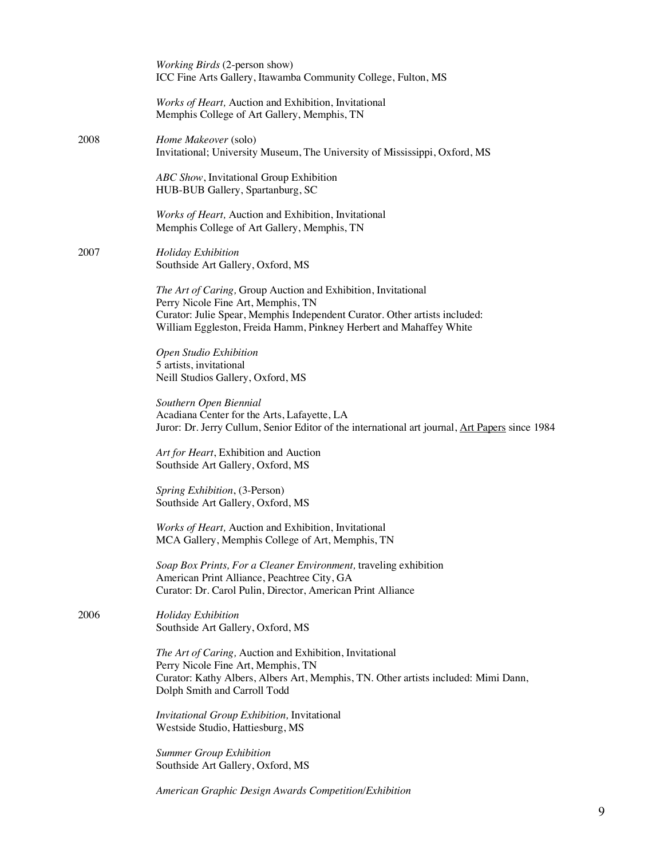|      | <i>Working Birds</i> (2-person show)<br>ICC Fine Arts Gallery, Itawamba Community College, Fulton, MS                                                                                                               |
|------|---------------------------------------------------------------------------------------------------------------------------------------------------------------------------------------------------------------------|
|      | Works of Heart, Auction and Exhibition, Invitational<br>Memphis College of Art Gallery, Memphis, TN                                                                                                                 |
| 2008 | Home Makeover (solo)<br>Invitational; University Museum, The University of Mississippi, Oxford, MS                                                                                                                  |
|      | ABC Show, Invitational Group Exhibition<br>HUB-BUB Gallery, Spartanburg, SC                                                                                                                                         |
|      | Works of Heart, Auction and Exhibition, Invitational<br>Memphis College of Art Gallery, Memphis, TN                                                                                                                 |
| 2007 | Holiday Exhibition<br>Southside Art Gallery, Oxford, MS                                                                                                                                                             |
|      | The Art of Caring, Group Auction and Exhibition, Invitational<br>Perry Nicole Fine Art, Memphis, TN<br>Curator: Julie Spear, Memphis Independent Curator. Other artists included:                                   |
|      | William Eggleston, Freida Hamm, Pinkney Herbert and Mahaffey White                                                                                                                                                  |
|      | Open Studio Exhibition<br>5 artists, invitational<br>Neill Studios Gallery, Oxford, MS                                                                                                                              |
|      | Southern Open Biennial<br>Acadiana Center for the Arts, Lafayette, LA<br>Juror: Dr. Jerry Cullum, Senior Editor of the international art journal, Art Papers since 1984                                             |
|      | Art for Heart, Exhibition and Auction<br>Southside Art Gallery, Oxford, MS                                                                                                                                          |
|      | Spring Exhibition, (3-Person)<br>Southside Art Gallery, Oxford, MS                                                                                                                                                  |
|      | Works of Heart, Auction and Exhibition, Invitational<br>MCA Gallery, Memphis College of Art, Memphis, TN                                                                                                            |
|      | Soap Box Prints, For a Cleaner Environment, traveling exhibition<br>American Print Alliance, Peachtree City, GA<br>Curator: Dr. Carol Pulin, Director, American Print Alliance                                      |
| 2006 | <b>Holiday Exhibition</b><br>Southside Art Gallery, Oxford, MS                                                                                                                                                      |
|      | The Art of Caring, Auction and Exhibition, Invitational<br>Perry Nicole Fine Art, Memphis, TN<br>Curator: Kathy Albers, Albers Art, Memphis, TN. Other artists included: Mimi Dann,<br>Dolph Smith and Carroll Todd |
|      | Invitational Group Exhibition, Invitational<br>Westside Studio, Hattiesburg, MS                                                                                                                                     |
|      | <b>Summer Group Exhibition</b><br>Southside Art Gallery, Oxford, MS                                                                                                                                                 |
|      | American Graphic Design Awards Competition/Exhibition                                                                                                                                                               |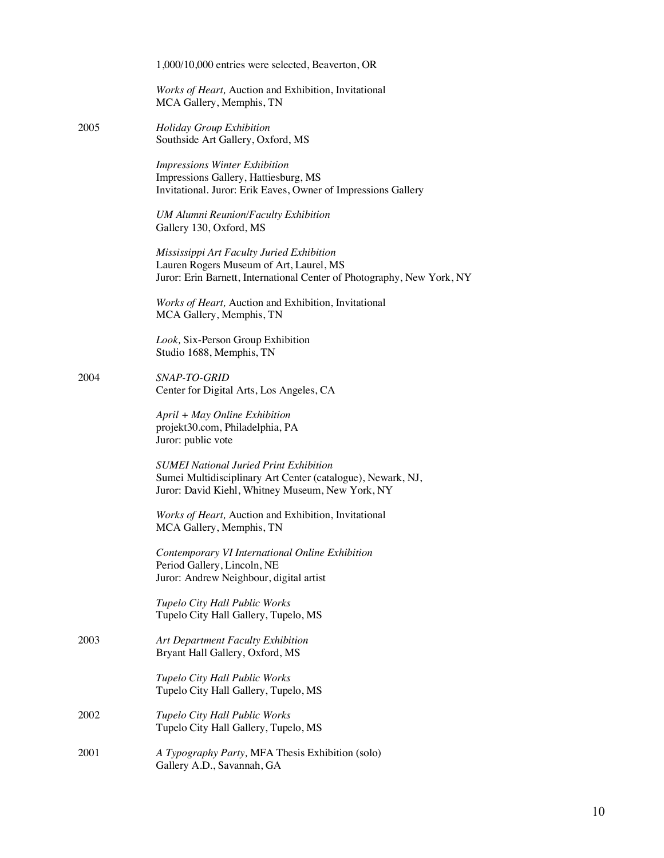|      | 1,000/10,000 entries were selected, Beaverton, OR                                                                                                                |
|------|------------------------------------------------------------------------------------------------------------------------------------------------------------------|
|      | Works of Heart, Auction and Exhibition, Invitational<br>MCA Gallery, Memphis, TN                                                                                 |
| 2005 | Holiday Group Exhibition<br>Southside Art Gallery, Oxford, MS                                                                                                    |
|      | <b>Impressions Winter Exhibition</b><br>Impressions Gallery, Hattiesburg, MS<br>Invitational. Juror: Erik Eaves, Owner of Impressions Gallery                    |
|      | <b>UM Alumni Reunion/Faculty Exhibition</b><br>Gallery 130, Oxford, MS                                                                                           |
|      | Mississippi Art Faculty Juried Exhibition<br>Lauren Rogers Museum of Art, Laurel, MS<br>Juror: Erin Barnett, International Center of Photography, New York, NY   |
|      | Works of Heart, Auction and Exhibition, Invitational<br>MCA Gallery, Memphis, TN                                                                                 |
|      | Look, Six-Person Group Exhibition<br>Studio 1688, Memphis, TN                                                                                                    |
| 2004 | SNAP-TO-GRID<br>Center for Digital Arts, Los Angeles, CA                                                                                                         |
|      | April + May Online Exhibition<br>projekt30.com, Philadelphia, PA<br>Juror: public vote                                                                           |
|      | <b>SUMEI</b> National Juried Print Exhibition<br>Sumei Multidisciplinary Art Center (catalogue), Newark, NJ,<br>Juror: David Kiehl, Whitney Museum, New York, NY |
|      | Works of Heart, Auction and Exhibition, Invitational<br>MCA Gallery, Memphis, TN                                                                                 |
|      | Contemporary VI International Online Exhibition<br>Period Gallery, Lincoln, NE<br>Juror: Andrew Neighbour, digital artist                                        |
|      | Tupelo City Hall Public Works<br>Tupelo City Hall Gallery, Tupelo, MS                                                                                            |
| 2003 | Art Department Faculty Exhibition<br>Bryant Hall Gallery, Oxford, MS                                                                                             |
|      | Tupelo City Hall Public Works<br>Tupelo City Hall Gallery, Tupelo, MS                                                                                            |
| 2002 | Tupelo City Hall Public Works<br>Tupelo City Hall Gallery, Tupelo, MS                                                                                            |
| 2001 | A Typography Party, MFA Thesis Exhibition (solo)<br>Gallery A.D., Savannah, GA                                                                                   |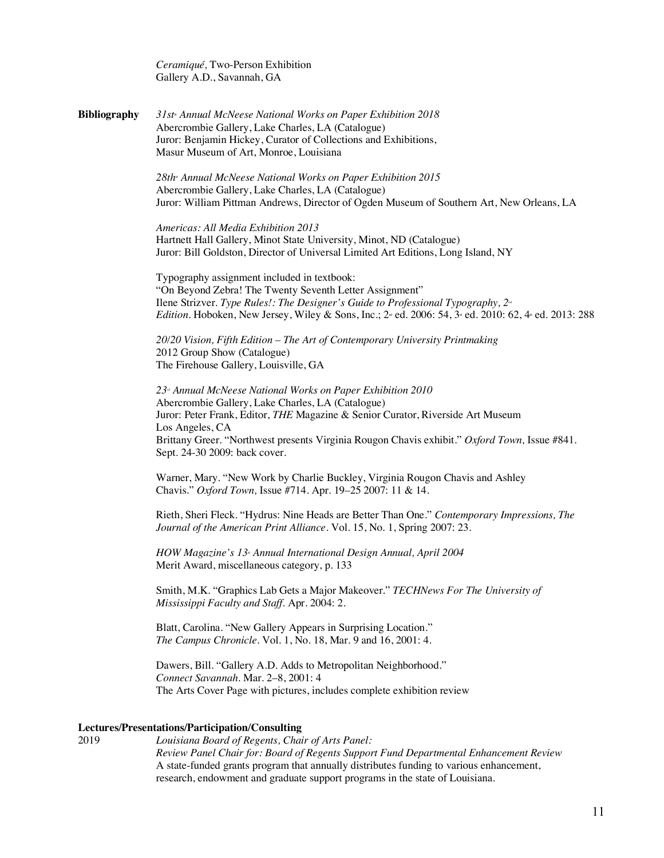*Ceramiqué,* Two-Person Exhibition Gallery A.D., Savannah, GA

**Bibliography** *31st Annual McNeese National Works on Paper Exhibition 2018* Abercrombie Gallery, Lake Charles, LA (Catalogue) Juror: Benjamin Hickey, Curator of Collections and Exhibitions, Masur Museum of Art, Monroe, Louisiana

> 28th<sup>\*</sup> Annual McNeese National Works on Paper Exhibition 2015 Abercrombie Gallery, Lake Charles, LA (Catalogue) Juror: William Pittman Andrews, Director of Ogden Museum of Southern Art, New Orleans, LA

*Americas: All Media Exhibition 2013* Hartnett Hall Gallery, Minot State University, Minot, ND (Catalogue) Juror: Bill Goldston, Director of Universal Limited Art Editions, Long Island, NY

Typography assignment included in textbook: "On Beyond Zebra! The Twenty Seventh Letter Assignment" Ilene Strizver. *Type Rules!: The Designer's Guide to Professional Typography*,  $2^d$ *Edition.* Hoboken, New Jersey, Wiley & Sons, Inc.; 2<sup>nd</sup> ed. 2006: 54, 3<sup>d</sup> ed. 2010: 62, 4<sup>t</sup> ed. 2013: 288

*20/20 Vision, Fifth Edition – The Art of Contemporary University Printmaking* 2012 Group Show (Catalogue) The Firehouse Gallery, Louisville, GA

*23rd Annual McNeese National Works on Paper Exhibition 2010* Abercrombie Gallery, Lake Charles, LA (Catalogue) Juror: Peter Frank, Editor, *THE* Magazine & Senior Curator, Riverside Art Museum Los Angeles, CA Brittany Greer. "Northwest presents Virginia Rougon Chavis exhibit." *Oxford Town,* Issue #841. Sept. 24-30 2009: back cover.

Warner, Mary. "New Work by Charlie Buckley, Virginia Rougon Chavis and Ashley Chavis." *Oxford Town,* Issue #714. Apr. 19–25 2007: 11 & 14.

Rieth, Sheri Fleck. "Hydrus: Nine Heads are Better Than One." *Contemporary Impressions, The Journal of the American Print Alliance.* Vol. 15, No. 1, Spring 2007: 23.

*HOW Magazine's* 13<sup>\*</sup> Annual International Design Annual, April 2004 Merit Award, miscellaneous category, p. 133

Smith, M.K. "Graphics Lab Gets a Major Makeover." *TECHNews For The University of Mississippi Faculty and Staff*. Apr. 2004: 2.

Blatt, Carolina. "New Gallery Appears in Surprising Location." *The Campus Chronicle*. Vol. 1, No. 18, Mar. 9 and 16, 2001: 4.

Dawers, Bill. "Gallery A.D. Adds to Metropolitan Neighborhood." *Connect Savannah*. Mar. 2–8, 2001: 4 The Arts Cover Page with pictures, includes complete exhibition review

#### **Lectures/Presentations/Participation/Consulting**

2019 *Louisiana Board of Regents, Chair of Arts Panel: Review Panel Chair for: Board of Regents Support Fund Departmental Enhancement Review* A state-funded grants program that annually distributes funding to various enhancement, research, endowment and graduate support programs in the state of Louisiana.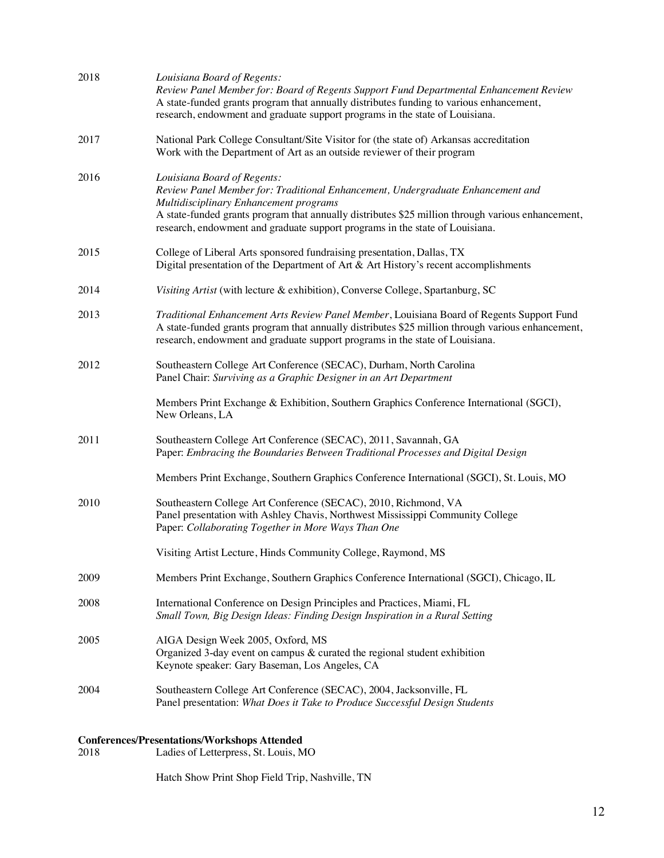| 2018 | Louisiana Board of Regents:<br>Review Panel Member for: Board of Regents Support Fund Departmental Enhancement Review<br>A state-funded grants program that annually distributes funding to various enhancement,<br>research, endowment and graduate support programs in the state of Louisiana.                                              |
|------|-----------------------------------------------------------------------------------------------------------------------------------------------------------------------------------------------------------------------------------------------------------------------------------------------------------------------------------------------|
| 2017 | National Park College Consultant/Site Visitor for (the state of) Arkansas accreditation<br>Work with the Department of Art as an outside reviewer of their program                                                                                                                                                                            |
| 2016 | Louisiana Board of Regents:<br>Review Panel Member for: Traditional Enhancement, Undergraduate Enhancement and<br>Multidisciplinary Enhancement programs<br>A state-funded grants program that annually distributes \$25 million through various enhancement,<br>research, endowment and graduate support programs in the state of Louisiana. |
| 2015 | College of Liberal Arts sponsored fundraising presentation, Dallas, TX<br>Digital presentation of the Department of Art $\&$ Art History's recent accomplishments                                                                                                                                                                             |
| 2014 | Visiting Artist (with lecture & exhibition), Converse College, Spartanburg, SC                                                                                                                                                                                                                                                                |
| 2013 | Traditional Enhancement Arts Review Panel Member, Louisiana Board of Regents Support Fund<br>A state-funded grants program that annually distributes \$25 million through various enhancement,<br>research, endowment and graduate support programs in the state of Louisiana.                                                                |
| 2012 | Southeastern College Art Conference (SECAC), Durham, North Carolina<br>Panel Chair: Surviving as a Graphic Designer in an Art Department                                                                                                                                                                                                      |
|      | Members Print Exchange & Exhibition, Southern Graphics Conference International (SGCI),<br>New Orleans, LA                                                                                                                                                                                                                                    |
| 2011 | Southeastern College Art Conference (SECAC), 2011, Savannah, GA<br>Paper: Embracing the Boundaries Between Traditional Processes and Digital Design                                                                                                                                                                                           |
|      | Members Print Exchange, Southern Graphics Conference International (SGCI), St. Louis, MO                                                                                                                                                                                                                                                      |
| 2010 | Southeastern College Art Conference (SECAC), 2010, Richmond, VA<br>Panel presentation with Ashley Chavis, Northwest Mississippi Community College<br>Paper: Collaborating Together in More Ways Than One                                                                                                                                      |
|      | Visiting Artist Lecture, Hinds Community College, Raymond, MS                                                                                                                                                                                                                                                                                 |
| 2009 | Members Print Exchange, Southern Graphics Conference International (SGCI), Chicago, IL                                                                                                                                                                                                                                                        |
| 2008 | International Conference on Design Principles and Practices, Miami, FL<br>Small Town, Big Design Ideas: Finding Design Inspiration in a Rural Setting                                                                                                                                                                                         |
| 2005 | AIGA Design Week 2005, Oxford, MS<br>Organized 3-day event on campus $\&$ curated the regional student exhibition<br>Keynote speaker: Gary Baseman, Los Angeles, CA                                                                                                                                                                           |
| 2004 | Southeastern College Art Conference (SECAC), 2004, Jacksonville, FL<br>Panel presentation: What Does it Take to Produce Successful Design Students                                                                                                                                                                                            |
|      | <b>Conferences/Presentations/Workshops Attended</b>                                                                                                                                                                                                                                                                                           |

# 2018 Ladies of Letterpress, St. Louis, MO

Hatch Show Print Shop Field Trip, Nashville, TN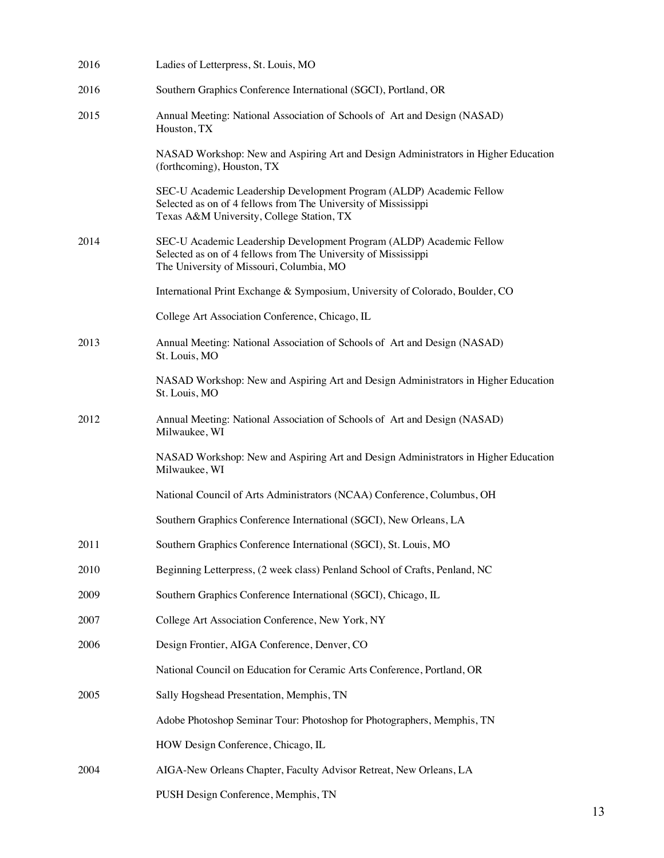| 2016 | Ladies of Letterpress, St. Louis, MO                                                                                                                                                |
|------|-------------------------------------------------------------------------------------------------------------------------------------------------------------------------------------|
| 2016 | Southern Graphics Conference International (SGCI), Portland, OR                                                                                                                     |
| 2015 | Annual Meeting: National Association of Schools of Art and Design (NASAD)<br>Houston, TX                                                                                            |
|      | NASAD Workshop: New and Aspiring Art and Design Administrators in Higher Education<br>(forthcoming), Houston, TX                                                                    |
|      | SEC-U Academic Leadership Development Program (ALDP) Academic Fellow<br>Selected as on of 4 fellows from The University of Mississippi<br>Texas A&M University, College Station, TX |
| 2014 | SEC-U Academic Leadership Development Program (ALDP) Academic Fellow<br>Selected as on of 4 fellows from The University of Mississippi<br>The University of Missouri, Columbia, MO  |
|      | International Print Exchange & Symposium, University of Colorado, Boulder, CO                                                                                                       |
|      | College Art Association Conference, Chicago, IL                                                                                                                                     |
| 2013 | Annual Meeting: National Association of Schools of Art and Design (NASAD)<br>St. Louis, MO                                                                                          |
|      | NASAD Workshop: New and Aspiring Art and Design Administrators in Higher Education<br>St. Louis, MO                                                                                 |
| 2012 | Annual Meeting: National Association of Schools of Art and Design (NASAD)<br>Milwaukee, WI                                                                                          |
|      | NASAD Workshop: New and Aspiring Art and Design Administrators in Higher Education<br>Milwaukee, WI                                                                                 |
|      | National Council of Arts Administrators (NCAA) Conference, Columbus, OH                                                                                                             |
|      | Southern Graphics Conference International (SGCI), New Orleans, LA                                                                                                                  |
| 2011 | Southern Graphics Conference International (SGCI), St. Louis, MO                                                                                                                    |
| 2010 | Beginning Letterpress, (2 week class) Penland School of Crafts, Penland, NC                                                                                                         |
| 2009 | Southern Graphics Conference International (SGCI), Chicago, IL                                                                                                                      |
| 2007 | College Art Association Conference, New York, NY                                                                                                                                    |
| 2006 | Design Frontier, AIGA Conference, Denver, CO                                                                                                                                        |
|      | National Council on Education for Ceramic Arts Conference, Portland, OR                                                                                                             |
| 2005 | Sally Hogshead Presentation, Memphis, TN                                                                                                                                            |
|      | Adobe Photoshop Seminar Tour: Photoshop for Photographers, Memphis, TN                                                                                                              |
|      | HOW Design Conference, Chicago, IL                                                                                                                                                  |
| 2004 | AIGA-New Orleans Chapter, Faculty Advisor Retreat, New Orleans, LA                                                                                                                  |
|      | PUSH Design Conference, Memphis, TN                                                                                                                                                 |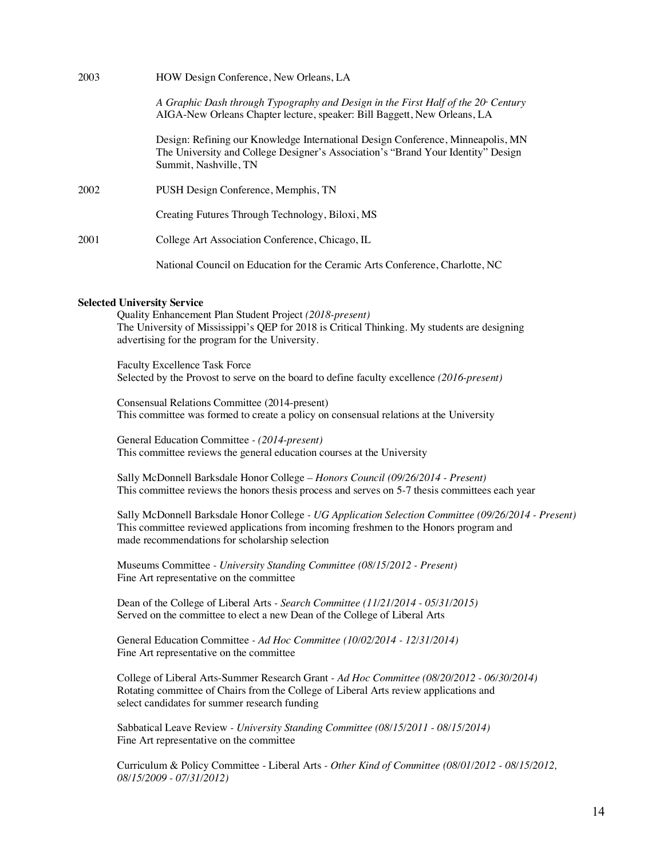| 2003 | HOW Design Conference, New Orleans, LA                                                                                                                                                       |
|------|----------------------------------------------------------------------------------------------------------------------------------------------------------------------------------------------|
|      | A Graphic Dash through Typography and Design in the First Half of the 20 Century<br>AIGA-New Orleans Chapter lecture, speaker: Bill Baggett, New Orleans, LA                                 |
|      | Design: Refining our Knowledge International Design Conference, Minneapolis, MN<br>The University and College Designer's Association's "Brand Your Identity" Design<br>Summit, Nashville, TN |
| 2002 | PUSH Design Conference, Memphis, TN                                                                                                                                                          |
|      | Creating Futures Through Technology, Biloxi, MS                                                                                                                                              |
| 2001 | College Art Association Conference, Chicago, IL                                                                                                                                              |
|      | National Council on Education for the Ceramic Arts Conference, Charlotte, NC                                                                                                                 |

#### **Selected University Service**

Quality Enhancement Plan Student Project *(2018-present)*  The University of Mississippi's QEP for 2018 is Critical Thinking. My students are designing advertising for the program for the University.

Faculty Excellence Task Force Selected by the Provost to serve on the board to define faculty excellence *(2016-present)*

Consensual Relations Committee (2014-present) This committee was formed to create a policy on consensual relations at the University

General Education Committee *- (2014-present)*  This committee reviews the general education courses at the University

Sally McDonnell Barksdale Honor College *– Honors Council (09/26/2014 - Present)* This committee reviews the honors thesis process and serves on 5-7 thesis committees each year

Sally McDonnell Barksdale Honor College *- UG Application Selection Committee (09/26/2014 - Present)* This committee reviewed applications from incoming freshmen to the Honors program and made recommendations for scholarship selection

Museums Committee *- University Standing Committee (08/15/2012 - Present)*  Fine Art representative on the committee

Dean of the College of Liberal Arts *- Search Committee (11/21/2014 - 05/31/2015)*  Served on the committee to elect a new Dean of the College of Liberal Arts

General Education Committee *- Ad Hoc Committee (10/02/2014 - 12/31/2014)*  Fine Art representative on the committee

College of Liberal Arts-Summer Research Grant *- Ad Hoc Committee (08/20/2012 - 06/30/2014)*  Rotating committee of Chairs from the College of Liberal Arts review applications and select candidates for summer research funding

Sabbatical Leave Review *- University Standing Committee (08/15/2011 - 08/15/2014)*  Fine Art representative on the committee

Curriculum & Policy Committee - Liberal Arts *- Other Kind of Committee (08/01/2012 - 08/15/2012, 08/15/2009 - 07/31/2012)*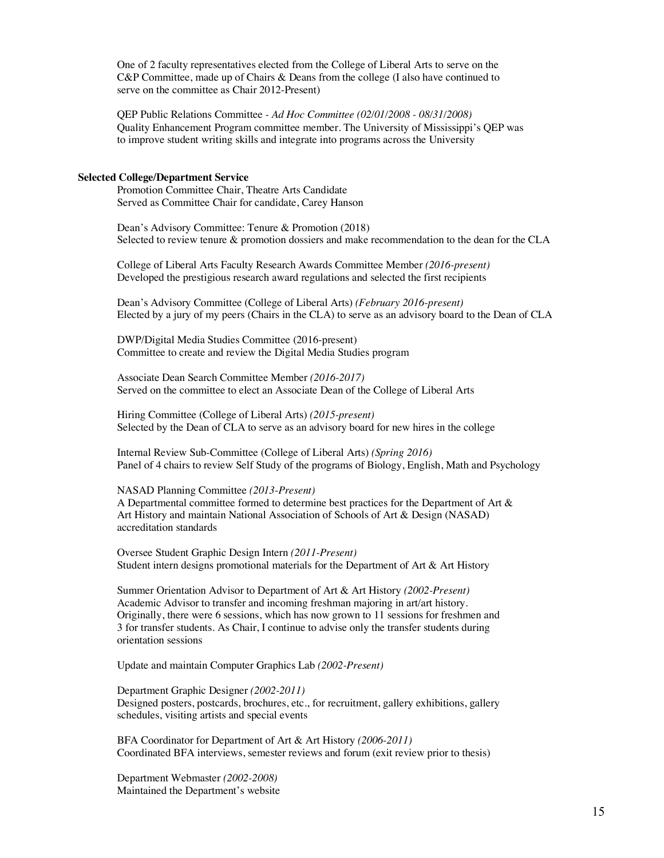One of 2 faculty representatives elected from the College of Liberal Arts to serve on the C&P Committee, made up of Chairs & Deans from the college (I also have continued to serve on the committee as Chair 2012-Present)

QEP Public Relations Committee *- Ad Hoc Committee (02/01/2008 - 08/31/2008)*  Quality Enhancement Program committee member. The University of Mississippi's QEP was to improve student writing skills and integrate into programs across the University

#### **Selected College/Department Service**

Promotion Committee Chair, Theatre Arts Candidate Served as Committee Chair for candidate, Carey Hanson

Dean's Advisory Committee: Tenure & Promotion (2018) Selected to review tenure & promotion dossiers and make recommendation to the dean for the CLA

College of Liberal Arts Faculty Research Awards Committee Member *(2016-present)* Developed the prestigious research award regulations and selected the first recipients

Dean's Advisory Committee (College of Liberal Arts) *(February 2016-present)*  Elected by a jury of my peers (Chairs in the CLA) to serve as an advisory board to the Dean of CLA

DWP/Digital Media Studies Committee (2016-present) Committee to create and review the Digital Media Studies program

Associate Dean Search Committee Member *(2016-2017)* Served on the committee to elect an Associate Dean of the College of Liberal Arts

Hiring Committee (College of Liberal Arts) *(2015-present)*  Selected by the Dean of CLA to serve as an advisory board for new hires in the college

Internal Review Sub-Committee (College of Liberal Arts) *(Spring 2016)*  Panel of 4 chairs to review Self Study of the programs of Biology, English, Math and Psychology

#### NASAD Planning Committee *(2013-Present)*

A Departmental committee formed to determine best practices for the Department of Art & Art History and maintain National Association of Schools of Art & Design (NASAD) accreditation standards

Oversee Student Graphic Design Intern *(2011-Present)* Student intern designs promotional materials for the Department of Art & Art History

Summer Orientation Advisor to Department of Art & Art History *(2002-Present)* Academic Advisor to transfer and incoming freshman majoring in art/art history. Originally, there were 6 sessions, which has now grown to 11 sessions for freshmen and 3 for transfer students. As Chair, I continue to advise only the transfer students during orientation sessions

Update and maintain Computer Graphics Lab *(2002-Present)*

Department Graphic Designer *(2002-2011)* Designed posters, postcards, brochures, etc., for recruitment, gallery exhibitions, gallery schedules, visiting artists and special events

BFA Coordinator for Department of Art & Art History *(2006-2011)* Coordinated BFA interviews, semester reviews and forum (exit review prior to thesis)

Department Webmaster *(2002-2008)* Maintained the Department's website